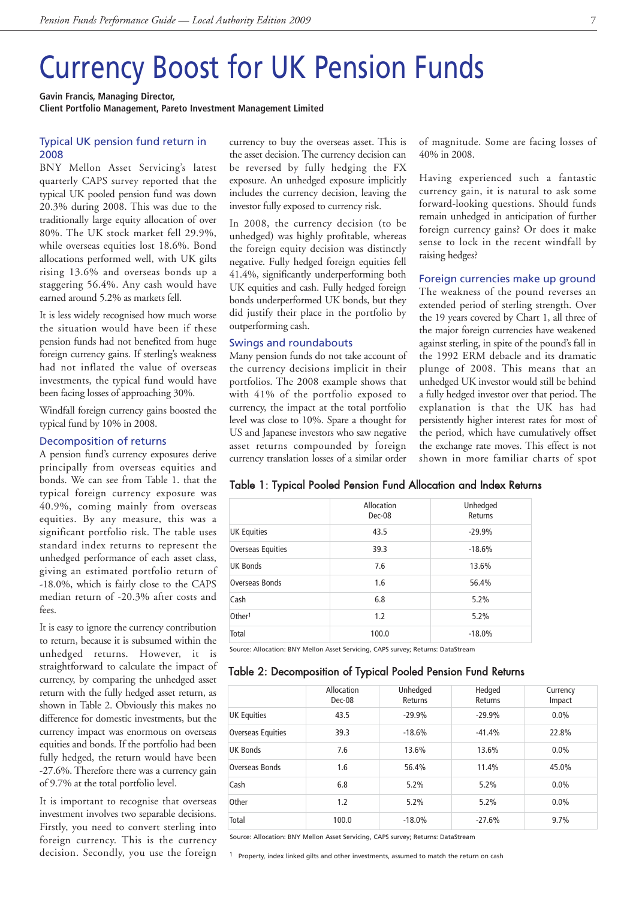# Currency Boost for UK Pension Funds

**Gavin Francis, Managing Director, Client Portfolio Management, Pareto Investment Management Limited**

### Typical UK pension fund return in 2008

BNY Mellon Asset Servicing's latest quarterly CAPS survey reported that the typical UK pooled pension fund was down 20.3% during 2008. This was due to the traditionally large equity allocation of over 80%. The UK stock market fell 29.9%, while overseas equities lost 18.6%. Bond allocations performed well, with UK gilts rising 13.6% and overseas bonds up a staggering 56.4%. Any cash would have earned around 5.2% as markets fell.

It is less widely recognised how much worse the situation would have been if these pension funds had not benefited from huge foreign currency gains. If sterling's weakness had not inflated the value of overseas investments, the typical fund would have been facing losses of approaching 30%.

Windfall foreign currency gains boosted the typical fund by 10% in 2008.

### Decomposition of returns

A pension fund's currency exposures derive principally from overseas equities and bonds. We can see from Table 1. that the typical foreign currency exposure was 40.9%, coming mainly from overseas equities. By any measure, this was a significant portfolio risk. The table uses standard index returns to represent the unhedged performance of each asset class, giving an estimated portfolio return of -18.0%, which is fairly close to the CAPS median return of -20.3% after costs and fees.

It is easy to ignore the currency contribution to return, because it is subsumed within the unhedged returns. However, it is straightforward to calculate the impact of currency, by comparing the unhedged asset return with the fully hedged asset return, as shown in Table 2. Obviously this makes no difference for domestic investments, but the currency impact was enormous on overseas equities and bonds. If the portfolio had been fully hedged, the return would have been -27.6%. Therefore there was a currency gain of 9.7% at the total portfolio level.

It is important to recognise that overseas investment involves two separable decisions. Firstly, you need to convert sterling into foreign currency. This is the currency decision. Secondly, you use the foreign currency to buy the overseas asset. This is the asset decision. The currency decision can be reversed by fully hedging the FX exposure. An unhedged exposure implicitly includes the currency decision, leaving the investor fully exposed to currency risk.

In 2008, the currency decision (to be unhedged) was highly profitable, whereas the foreign equity decision was distinctly negative. Fully hedged foreign equities fell 41.4%, significantly underperforming both UK equities and cash. Fully hedged foreign bonds underperformed UK bonds, but they did justify their place in the portfolio by outperforming cash.

#### Swings and roundabouts

Many pension funds do not take account of the currency decisions implicit in their portfolios. The 2008 example shows that with 41% of the portfolio exposed to currency, the impact at the total portfolio level was close to 10%. Spare a thought for US and Japanese investors who saw negative asset returns compounded by foreign currency translation losses of a similar order

of magnitude. Some are facing losses of 40% in 2008.

Having experienced such a fantastic currency gain, it is natural to ask some forward-looking questions. Should funds remain unhedged in anticipation of further foreign currency gains? Or does it make sense to lock in the recent windfall by raising hedges?

#### Foreign currencies make up ground

The weakness of the pound reverses an extended period of sterling strength. Over the 19 years covered by Chart 1, all three of the major foreign currencies have weakened against sterling, in spite of the pound's fall in the 1992 ERM debacle and its dramatic plunge of 2008. This means that an unhedged UK investor would still be behind a fully hedged investor over that period. The explanation is that the UK has had persistently higher interest rates for most of the period, which have cumulatively offset the exchange rate moves. This effect is not shown in more familiar charts of spot

### Table 1: Typical Pooled Pension Fund Allocation and Index Returns

|                    | Allocation<br>Dec-08 | Unhedged<br>Returns |  |
|--------------------|----------------------|---------------------|--|
| <b>UK Equities</b> | 43.5                 | $-29.9%$            |  |
| Overseas Equities  | 39.3                 | $-18.6%$            |  |
| <b>UK Bonds</b>    | 7.6                  | 13.6%               |  |
| Overseas Bonds     | 1.6                  | 56.4%               |  |
| Cash               | 6.8                  | 5.2%                |  |
| Other <sup>1</sup> | 1.2                  | 5.2%                |  |
| Total              | 100.0                | $-18.0%$            |  |

Source: Allocation: BNY Mellon Asset Servicing, CAPS survey; Returns: DataStream

## Table 2: Decomposition of Typical Pooled Pension Fund Returns

|                    | Allocation<br>Dec-08 | Unhedged<br>Returns | Hedged<br>Returns | Currency<br>Impact |
|--------------------|----------------------|---------------------|-------------------|--------------------|
| <b>UK Equities</b> | 43.5                 | $-29.9%$            | $-29.9%$          | 0.0%               |
| Overseas Equities  | 39.3                 | $-18.6%$            | $-41.4%$          | 22.8%              |
| <b>UK Bonds</b>    | 7.6                  | 13.6%               | 13.6%             | $0.0\%$            |
| Overseas Bonds     | 1.6                  | 56.4%               | 11.4%             | 45.0%              |
| Cash               | 6.8                  | 5.2%                | 5.2%              | 0.0%               |
| Other              | 1.2                  | 5.2%                | 5.2%              | 0.0%               |
| Total              | 100.0                | $-18.0%$            | $-27.6%$          | 9.7%               |

Source: Allocation: BNY Mellon Asset Servicing, CAPS survey; Returns: DataStream